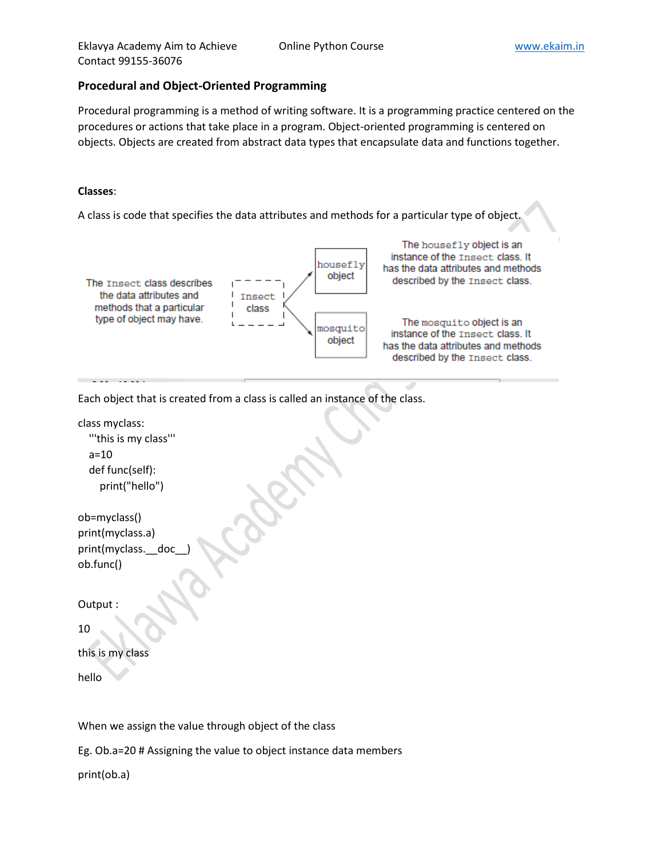### **Procedural and Object-Oriented Programming**

Procedural programming is a method of writing software. It is a programming practice centered on the procedures or actions that take place in a program. Object-oriented programming is centered on objects. Objects are created from abstract data types that encapsulate data and functions together.

### **Classes**:

A class is code that specifies the data attributes and methods for a particular type of object.



Each object that is created from a class is called an instance of the class.

class myclass: '''this is my class''' a=10 def func(self): print("hello") ob=myclass()

print(myclass.a) print(myclass.\_\_doc ob.func()

Output :

10

```
this is my class
```
hello

When we assign the value through object of the class

Eg. Ob.a=20 # Assigning the value to object instance data members

print(ob.a)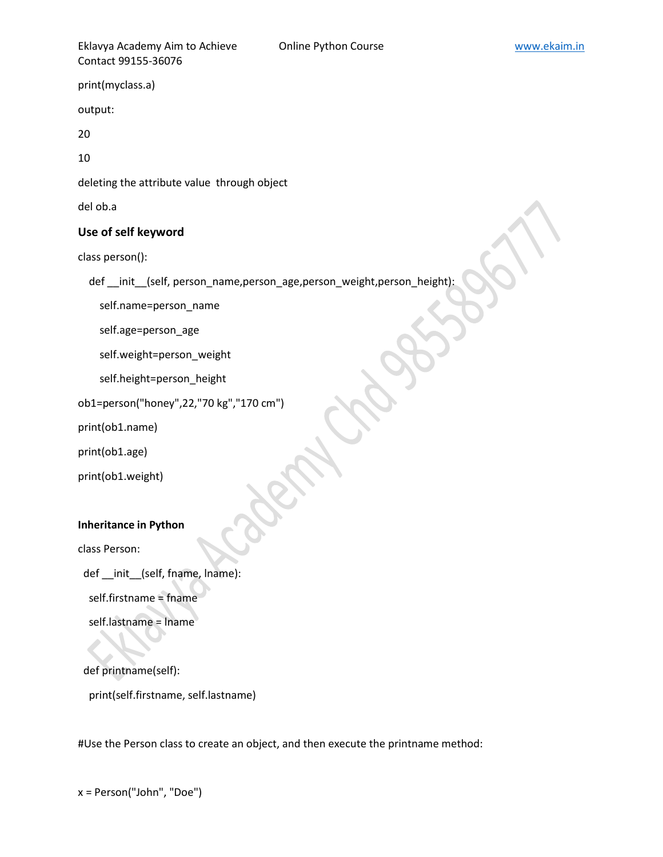Eklavya Academy Aim to Achieve **Conline Python Course** Course **WACCON MACCON MACCON MACCON MACCON** External of the MACCON MACCON MACCON MACCON MACCON MACCON MACCON MACCON MACCON MACCON MACCON MACCON MACCON MACCON MACCON MA Contact 99155-36076

print(myclass.a)

output:

20

10

deleting the attribute value through object

del ob.a

### **Use of self keyword**

class person():

def init (self, person name,person age,person weight,person height):

self.name=person\_name

self.age=person\_age

self.weight=person\_weight

self.height=person\_height

ob1=person("honey",22,"70 kg","170 cm")

print(ob1.name)

print(ob1.age)

print(ob1.weight)

#### **Inheritance in Python**

class Person:

def init (self, fname, lname):

self.firstname = fname

self.lastname = lname

 def printname(self): print(self.firstname, self.lastname)

#Use the Person class to create an object, and then execute the printname method: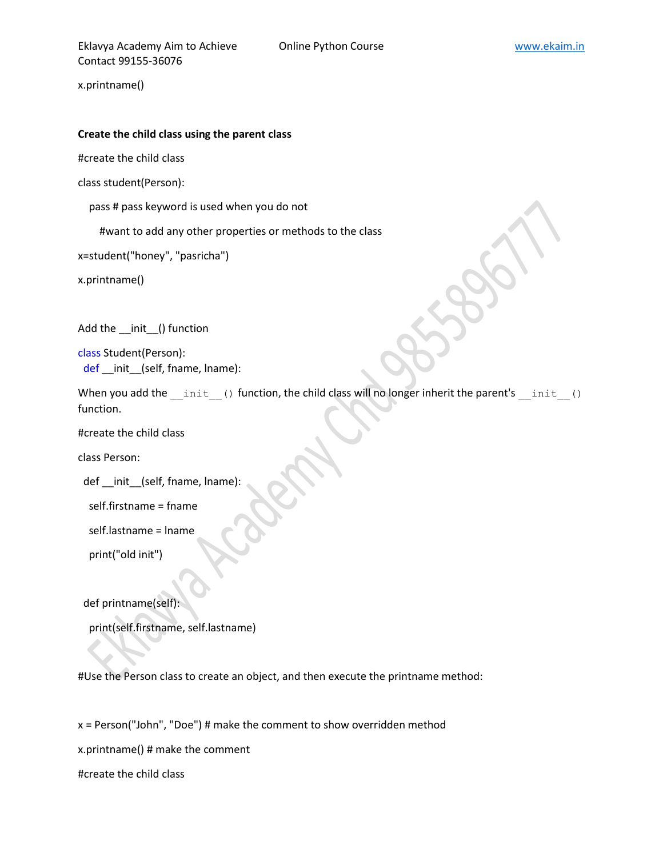x.printname()

#### **Create the child class using the parent class**

#create the child class

class student(Person):

pass # pass keyword is used when you do not

#want to add any other properties or methods to the class

x=student("honey", "pasricha")

x.printname()

Add the \_\_init\_\_() function

class Student(Person): def \_\_init\_\_(self, fname, lname):

When you add the \_\_init () function, the child class will no longer inherit the parent's \_\_init () function.

#create the child class

class Person:

def \_\_init\_\_(self, fname, lname):

self.firstname = fname

self.lastname = lname

print("old init")

def printname(self):

print(self.firstname, self.lastname)

#Use the Person class to create an object, and then execute the printname method:

x = Person("John", "Doe") # make the comment to show overridden method

x.printname() # make the comment

#create the child class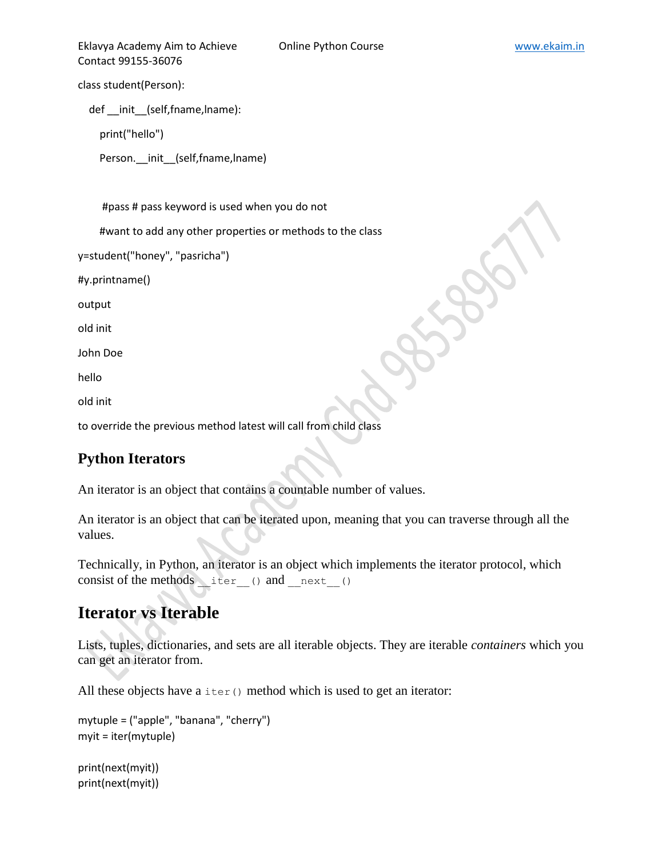Eklavya Academy Aim to Achieve **Online Python Course WWW.ekaim.in** Contact 99155-36076

class student(Person):

def \_\_init\_\_(self,fname,lname):

print("hello")

Person.\_\_init\_\_(self,fname,lname)

#pass # pass keyword is used when you do not

#want to add any other properties or methods to the class

y=student("honey", "pasricha")

#y.printname()

output

old init

John Doe

hello

old init

to override the previous method latest will call from child class

# **Python Iterators**

An iterator is an object that contains a countable number of values.

An iterator is an object that can be iterated upon, meaning that you can traverse through all the values.

Technically, in Python, an iterator is an object which implements the iterator protocol, which consist of the methods iter () and next ()

# **Iterator vs Iterable**

Lists, tuples, dictionaries, and sets are all iterable objects. They are iterable *containers* which you can get an iterator from.

All these objects have a  $\text{iter}()$  method which is used to get an iterator:

```
mytuple = ("apple", "banana", "cherry")
myit = iter(mytuple)
```
print(next(myit)) print(next(myit))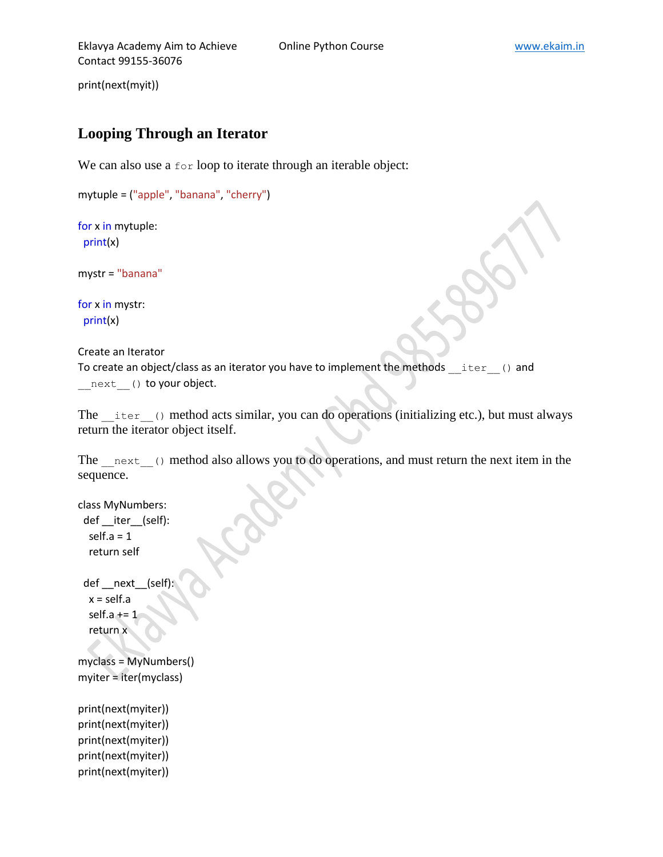print(next(myit))

# **Looping Through an Iterator**

We can also use a for loop to iterate through an iterable object:

```
mytuple = ("apple", "banana", "cherry")
```
for x in mytuple: print(x)

mystr = "banana"

for x in mystr: print(x)

Create an Iterator

To create an object/class as an iterator you have to implement the methods \_\_iter\_\_() and next () to your object.

The iter () method acts similar, you can do operations (initializing etc.), but must always return the iterator object itself.

The next () method also allows you to do operations, and must return the next item in the sequence.

```
class MyNumbers:
  def __iter__(self):
  self.a = 1 return self
  def __next__(self):
  x = self.a
  self.a += 1 return x
myclass = MyNumbers()
myiter = iter(myclass)
print(next(myiter))
print(next(myiter))
print(next(myiter))
print(next(myiter))
```
print(next(myiter))